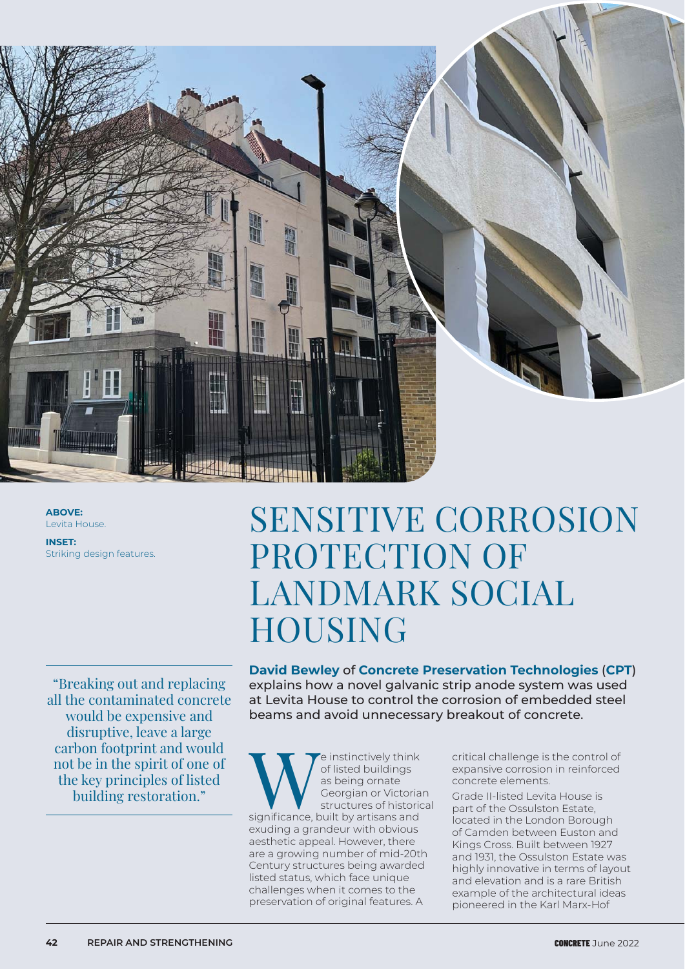

**ABOVE:** Levita House.

**INSET:** Striking design features.

"Breaking out and replacing all the contaminated concrete would be expensive and disruptive, leave a large carbon footprint and would not be in the spirit of one of the key principles of listed building restoration."

# SENSITIVE CORROSION PROTECTION OF LANDMARK SOCIAL HOUSING

**David Bewley** of **Concrete Preservation Technologies** (**CPT**) explains how a novel galvanic strip anode system was used at Levita House to control the corrosion of embedded steel beams and avoid unnecessary breakout of concrete.

**WE** instinctively think<br>of listed buildings<br>as being ornate<br>deorgian or Victoria<br>significance, built by artisans and of listed buildings as being ornate Georgian or Victorian structures of historical exuding a grandeur with obvious aesthetic appeal. However, there are a growing number of mid-20th Century structures being awarded listed status, which face unique challenges when it comes to the preservation of original features. A

critical challenge is the control of expansive corrosion in reinforced concrete elements.

Grade II-listed Levita House is part of the Ossulston Estate, located in the London Borough of Camden between Euston and Kings Cross. Built between 1927 and 1931, the Ossulston Estate was highly innovative in terms of layout and elevation and is a rare British example of the architectural ideas pioneered in the Karl Marx-Hof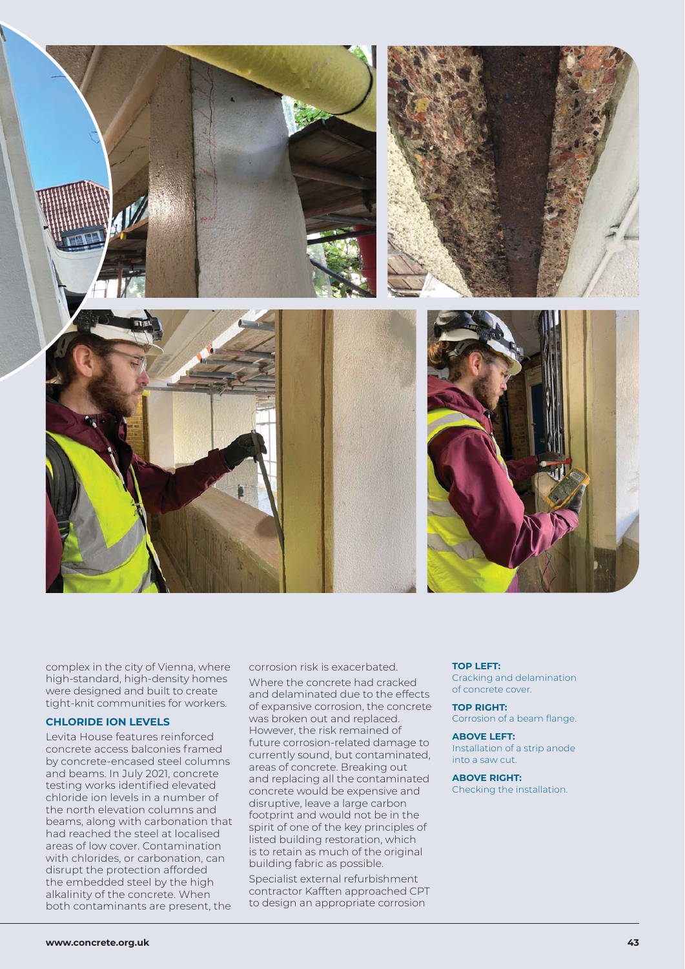

complex in the city of Vienna, where high-standard, high-density homes were designed and built to create tight-knit communities for workers.

## **CHLORIDE ION LEVELS**

Levita House features reinforced concrete access balconies framed by concrete-encased steel columns and beams. In July 2021, concrete testing works identified elevated chloride ion levels in a number of the north elevation columns and beams, along with carbonation that had reached the steel at localised areas of low cover. Contamination with chlorides, or carbonation, can disrupt the protection afforded the embedded steel by the high alkalinity of the concrete. When both contaminants are present, the

corrosion risk is exacerbated.

Where the concrete had cracked and delaminated due to the effects of expansive corrosion, the concrete was broken out and replaced. However, the risk remained of future corrosion-related damage to currently sound, but contaminated, areas of concrete. Breaking out and replacing all the contaminated concrete would be expensive and disruptive, leave a large carbon footprint and would not be in the spirit of one of the key principles of listed building restoration, which is to retain as much of the original building fabric as possible.

Specialist external refurbishment contractor Kafften approached CPT to design an appropriate corrosion

#### **TOP LEFT:**

Cracking and delamination of concrete cover.

## **TOP RIGHT:**

Corrosion of a beam flange.

## **ABOVE LEFT:** Installation of a strip anode into a saw cut.

# **ABOVE RIGHT:**

Checking the installation.